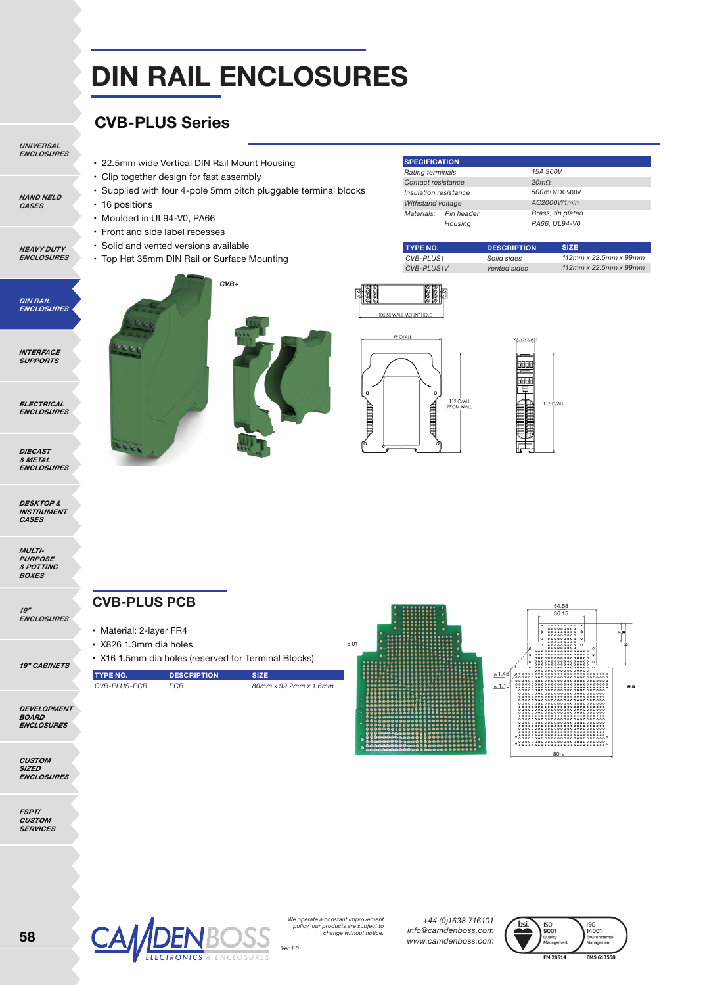## **DIN RAIL ENCLOSURES**

#### **CVB-PLUS Series**

• Moulded in UL94-V0, PA66 • Front and side label recesses • Solid and vented versions available

• 22.5mm wide Vertical DIN Rail Mount Housing • Clip together design for fast assembly

• Top Hat 35mm DIN Rail or Surface Mounting

• Supplied with four 4-pole 5mm pitch pluggable terminal blocks

*UNIVERSAL ENCLOSURES*

*HAND HELD CASES*

*HEAVY DUTY ENCLOSURES*

*DIN RAIL ENCLOSURES*

*INTERFACE SUPPORTS*

*ELECTRICAL ENCLOSURES*

*DIECAST & METAL ENCLOSURES*

*DESKTOP & INSTRUMENT CASES*

*MULTI-PURPOSE & POTTING BOXES*

*19" ENCLOSURES*

*19" CABINETS*

*DEVELOPMENT BOARD ENCLOSURES*

*CUSTOM SIZED ENCLOSURES*

*FSPT/*



• 16 positions





**TYPE NO.**

**SPECIFICATION** *Rating terminals Contact resistance Insulation resistance Withstand voltage Materials: Pin heade Housing* 





*15A 300V 20m*Ω *500m*Ω/DC500V *AC2000V/1min Brass, tin plated PA66, UL94-V0*

**SIZE**

*112mm x 22.5mm x 99mm 112mm x 22.5mm x 99mm* 

**DESCRIPTION** *Solid sides Vented sides*

**CVB-PLUS PCB**

- Material: 2-layer FR4
- X826 1.3mm dia holes

#### • X16 1.5mm dia holes (reserved for Terminal Blocks)

| <b>TYPE NO.</b> | <b>DESCRIPTION</b> | <b>SIZE</b>           |
|-----------------|--------------------|-----------------------|
| CVB-PLUS-PCB    | <b>PCB</b>         | 80mm x 99.2mm x 1.6mm |
|                 |                    |                       |







*We operate a constant improvement policy, our products are subject to change without notice.*

*+44 (0)1638 716101 info@camdenboss.com www.camdenboss.com*